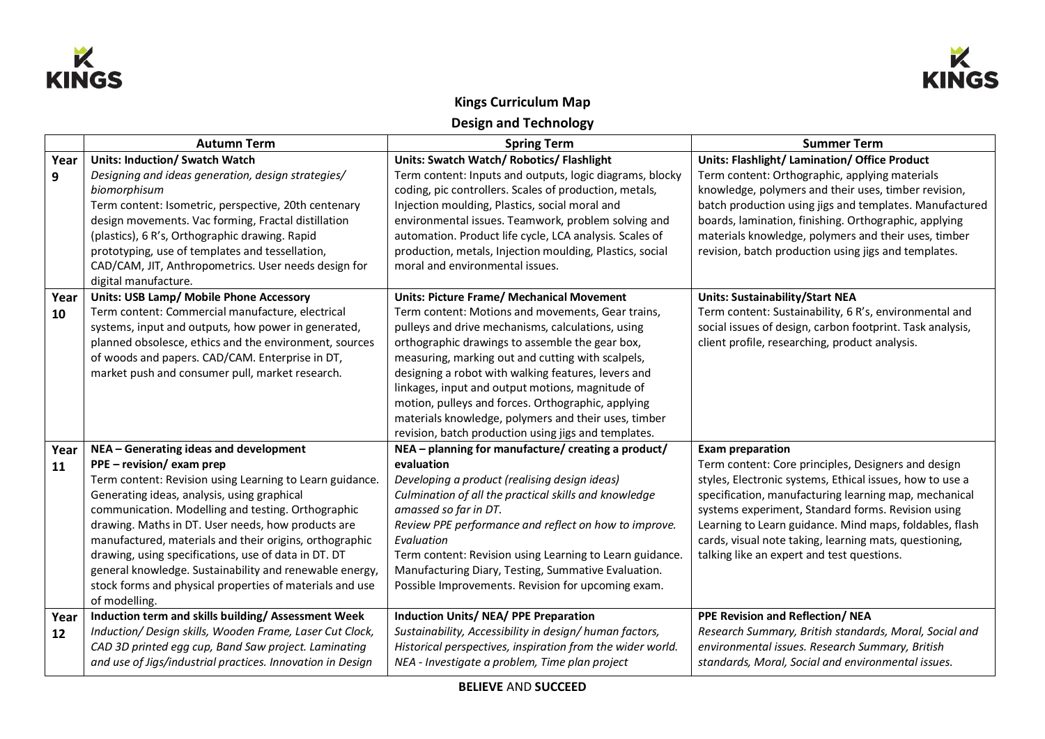



## **Kings Curriculum Map Design and Technology**

|            | <b>Autumn Term</b>                                                                                                                                                                                                                                                                                                                                                                                                                                                                                                                                    | <b>Spring Term</b>                                                                                                                                                                                                                                                                                                                                                                                                                                                                                                                                  | <b>Summer Term</b>                                                                                                                                                                                                                                                                                                                                                                                                           |
|------------|-------------------------------------------------------------------------------------------------------------------------------------------------------------------------------------------------------------------------------------------------------------------------------------------------------------------------------------------------------------------------------------------------------------------------------------------------------------------------------------------------------------------------------------------------------|-----------------------------------------------------------------------------------------------------------------------------------------------------------------------------------------------------------------------------------------------------------------------------------------------------------------------------------------------------------------------------------------------------------------------------------------------------------------------------------------------------------------------------------------------------|------------------------------------------------------------------------------------------------------------------------------------------------------------------------------------------------------------------------------------------------------------------------------------------------------------------------------------------------------------------------------------------------------------------------------|
| Year<br>9  | <b>Units: Induction/ Swatch Watch</b><br>Designing and ideas generation, design strategies/<br>biomorphisum<br>Term content: Isometric, perspective, 20th centenary<br>design movements. Vac forming, Fractal distillation<br>(plastics), 6 R's, Orthographic drawing. Rapid<br>prototyping, use of templates and tessellation,<br>CAD/CAM, JIT, Anthropometrics. User needs design for<br>digital manufacture.                                                                                                                                       | Units: Swatch Watch/ Robotics/ Flashlight<br>Term content: Inputs and outputs, logic diagrams, blocky<br>coding, pic controllers. Scales of production, metals,<br>Injection moulding, Plastics, social moral and<br>environmental issues. Teamwork, problem solving and<br>automation. Product life cycle, LCA analysis. Scales of<br>production, metals, Injection moulding, Plastics, social<br>moral and environmental issues.                                                                                                                  | <b>Units: Flashlight/ Lamination/ Office Product</b><br>Term content: Orthographic, applying materials<br>knowledge, polymers and their uses, timber revision,<br>batch production using jigs and templates. Manufactured<br>boards, lamination, finishing. Orthographic, applying<br>materials knowledge, polymers and their uses, timber<br>revision, batch production using jigs and templates.                           |
| Year<br>10 | Units: USB Lamp/ Mobile Phone Accessory<br>Term content: Commercial manufacture, electrical<br>systems, input and outputs, how power in generated,<br>planned obsolesce, ethics and the environment, sources<br>of woods and papers. CAD/CAM. Enterprise in DT,<br>market push and consumer pull, market research.                                                                                                                                                                                                                                    | <b>Units: Picture Frame/ Mechanical Movement</b><br>Term content: Motions and movements, Gear trains,<br>pulleys and drive mechanisms, calculations, using<br>orthographic drawings to assemble the gear box,<br>measuring, marking out and cutting with scalpels,<br>designing a robot with walking features, levers and<br>linkages, input and output motions, magnitude of<br>motion, pulleys and forces. Orthographic, applying<br>materials knowledge, polymers and their uses, timber<br>revision, batch production using jigs and templates. | <b>Units: Sustainability/Start NEA</b><br>Term content: Sustainability, 6 R's, environmental and<br>social issues of design, carbon footprint. Task analysis,<br>client profile, researching, product analysis.                                                                                                                                                                                                              |
| Year<br>11 | NEA - Generating ideas and development<br>PPE - revision/ exam prep<br>Term content: Revision using Learning to Learn guidance.<br>Generating ideas, analysis, using graphical<br>communication. Modelling and testing. Orthographic<br>drawing. Maths in DT. User needs, how products are<br>manufactured, materials and their origins, orthographic<br>drawing, using specifications, use of data in DT. DT<br>general knowledge. Sustainability and renewable energy,<br>stock forms and physical properties of materials and use<br>of modelling. | NEA - planning for manufacture/ creating a product/<br>evaluation<br>Developing a product (realising design ideas)<br>Culmination of all the practical skills and knowledge<br>amassed so far in DT.<br>Review PPE performance and reflect on how to improve.<br>Evaluation<br>Term content: Revision using Learning to Learn guidance.<br>Manufacturing Diary, Testing, Summative Evaluation.<br>Possible Improvements. Revision for upcoming exam.                                                                                                | <b>Exam preparation</b><br>Term content: Core principles, Designers and design<br>styles, Electronic systems, Ethical issues, how to use a<br>specification, manufacturing learning map, mechanical<br>systems experiment, Standard forms. Revision using<br>Learning to Learn guidance. Mind maps, foldables, flash<br>cards, visual note taking, learning mats, questioning,<br>talking like an expert and test questions. |
| Year<br>12 | Induction term and skills building/ Assessment Week<br>Induction/ Design skills, Wooden Frame, Laser Cut Clock,<br>CAD 3D printed egg cup, Band Saw project. Laminating<br>and use of Jigs/industrial practices. Innovation in Design                                                                                                                                                                                                                                                                                                                 | <b>Induction Units/ NEA/ PPE Preparation</b><br>Sustainability, Accessibility in design/human factors,<br>Historical perspectives, inspiration from the wider world.<br>NEA - Investigate a problem, Time plan project                                                                                                                                                                                                                                                                                                                              | PPE Revision and Reflection/ NEA<br>Research Summary, British standards, Moral, Social and<br>environmental issues. Research Summary, British<br>standards, Moral, Social and environmental issues.                                                                                                                                                                                                                          |